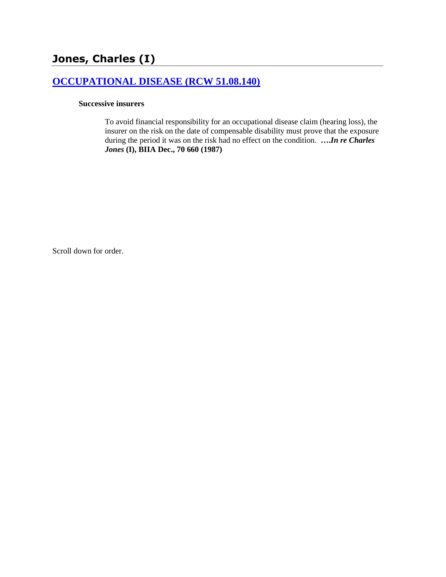# **[OCCUPATIONAL DISEASE \(RCW 51.08.140\)](http://www.biia.wa.gov/SDSubjectIndex.html#OCCUPATIONAL_DISEASE)**

### **Successive insurers**

To avoid financial responsibility for an occupational disease claim (hearing loss), the insurer on the risk on the date of compensable disability must prove that the exposure during the period it was on the risk had no effect on the condition. **….***In re Charles Jones* **(I), BIIA Dec., 70 660 (1987)**

Scroll down for order.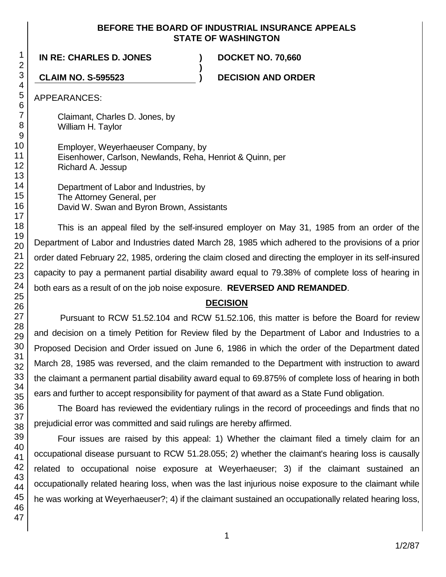### **BEFORE THE BOARD OF INDUSTRIAL INSURANCE APPEALS STATE OF WASHINGTON**

**)**

**IN RE: CHARLES D. JONES ) DOCKET NO. 70,660**

**CLAIM NO. S-595523 ) DECISION AND ORDER**

APPEARANCES:

Claimant, Charles D. Jones, by William H. Taylor

Employer, Weyerhaeuser Company, by Eisenhower, Carlson, Newlands, Reha, Henriot & Quinn, per Richard A. Jessup

Department of Labor and Industries, by The Attorney General, per David W. Swan and Byron Brown, Assistants

This is an appeal filed by the self-insured employer on May 31, 1985 from an order of the Department of Labor and Industries dated March 28, 1985 which adhered to the provisions of a prior order dated February 22, 1985, ordering the claim closed and directing the employer in its self-insured capacity to pay a permanent partial disability award equal to 79.38% of complete loss of hearing in both ears as a result of on the job noise exposure. **REVERSED AND REMANDED**.

## **DECISION**

Pursuant to RCW 51.52.104 and RCW 51.52.106, this matter is before the Board for review and decision on a timely Petition for Review filed by the Department of Labor and Industries to a Proposed Decision and Order issued on June 6, 1986 in which the order of the Department dated March 28, 1985 was reversed, and the claim remanded to the Department with instruction to award the claimant a permanent partial disability award equal to 69.875% of complete loss of hearing in both ears and further to accept responsibility for payment of that award as a State Fund obligation.

The Board has reviewed the evidentiary rulings in the record of proceedings and finds that no prejudicial error was committed and said rulings are hereby affirmed.

Four issues are raised by this appeal: 1) Whether the claimant filed a timely claim for an occupational disease pursuant to RCW 51.28.055; 2) whether the claimant's hearing loss is causally related to occupational noise exposure at Weyerhaeuser; 3) if the claimant sustained an occupationally related hearing loss, when was the last injurious noise exposure to the claimant while he was working at Weyerhaeuser?; 4) if the claimant sustained an occupationally related hearing loss,

1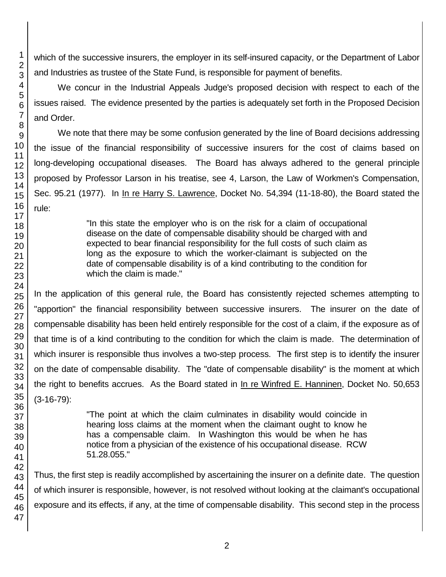which of the successive insurers, the employer in its self-insured capacity, or the Department of Labor and Industries as trustee of the State Fund, is responsible for payment of benefits.

We concur in the Industrial Appeals Judge's proposed decision with respect to each of the issues raised. The evidence presented by the parties is adequately set forth in the Proposed Decision and Order.

We note that there may be some confusion generated by the line of Board decisions addressing the issue of the financial responsibility of successive insurers for the cost of claims based on long-developing occupational diseases. The Board has always adhered to the general principle proposed by Professor Larson in his treatise, see 4, Larson, the Law of Workmen's Compensation, Sec. 95.21 (1977). In In re Harry S. Lawrence, Docket No. 54,394 (11-18-80), the Board stated the rule:

> "In this state the employer who is on the risk for a claim of occupational disease on the date of compensable disability should be charged with and expected to bear financial responsibility for the full costs of such claim as long as the exposure to which the worker-claimant is subjected on the date of compensable disability is of a kind contributing to the condition for which the claim is made."

In the application of this general rule, the Board has consistently rejected schemes attempting to "apportion" the financial responsibility between successive insurers. The insurer on the date of compensable disability has been held entirely responsible for the cost of a claim, if the exposure as of that time is of a kind contributing to the condition for which the claim is made. The determination of which insurer is responsible thus involves a two-step process. The first step is to identify the insurer on the date of compensable disability. The "date of compensable disability" is the moment at which the right to benefits accrues. As the Board stated in In re Winfred E. Hanninen, Docket No. 50,653 (3-16-79):

> "The point at which the claim culminates in disability would coincide in hearing loss claims at the moment when the claimant ought to know he has a compensable claim. In Washington this would be when he has notice from a physician of the existence of his occupational disease. RCW 51.28.055."

Thus, the first step is readily accomplished by ascertaining the insurer on a definite date. The question of which insurer is responsible, however, is not resolved without looking at the claimant's occupational exposure and its effects, if any, at the time of compensable disability. This second step in the process